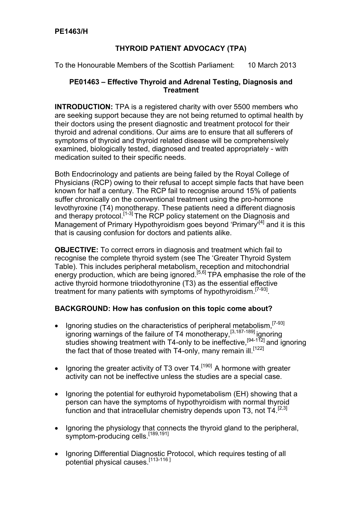## **THYROID PATIENT ADVOCACY (TPA)**

To the Honourable Members of the Scottish Parliament: 10 March 2013

## **PE01463 – Effective Thyroid and Adrenal Testing, Diagnosis and Treatment**

**INTRODUCTION:** TPA is a registered charity with over 5500 members who are seeking support because they are not being returned to optimal health by their doctors using the present diagnostic and treatment protocol for their thyroid and adrenal conditions. Our aims are to ensure that all sufferers of symptoms of thyroid and thyroid related disease will be comprehensively examined, biologically tested, diagnosed and treated appropriately - with medication suited to their specific needs.

Both Endocrinology and patients are being failed by the Royal College of Physicians (RCP) owing to their refusal to accept simple facts that have been known for half a century. The RCP fail to recognise around 15% of patients suffer chronically on the conventional treatment using the pro-hormone levothyroxine (T4) monotherapy. These patients need a different diagnosis and therapy protocol.<sup>[1-3]</sup> The RCP policy statement on the Diagnosis and Management of Primary Hypothyroidism goes beyond 'Primary<sup>[4]</sup> and it is this that is causing confusion for doctors and patients alike.

**OBJECTIVE:** To correct errors in diagnosis and treatment which fail to recognise the complete thyroid system (see The 'Greater Thyroid System Table). This includes peripheral metabolism, reception and mitochondrial energy production, which are being ignored.<sup>[5,6]</sup> TPA emphasise the role of the active thyroid hormone triiodothyronine (T3) as the essential effective treatment for many patients with symptoms of hypothyroidism.<sup>[7-93]</sup>.

## **BACKGROUND: How has confusion on this topic come about?**

- Ignoring studies on the characteristics of peripheral metabolism.<sup>[7-93]</sup> ignoring warnings of the failure of T4 monotherapy.<sup>[3,187-189]</sup> ignoring studies showing treatment with T4-only to be ineffective.<sup>[94-112]</sup> and ignoring the fact that of those treated with T4-only, many remain ill.<sup>[122]</sup>
- Ignoring the greater activity of T3 over  $T4$ .<sup>[190]</sup> A hormone with greater activity can not be ineffective unless the studies are a special case.
- Ignoring the potential for euthyroid hypometabolism (EH) showing that a person can have the symptoms of hypothyroidism with normal thyroid function and that intracellular chemistry depends upon T3, not  $T4$ <sup>[2,3]</sup>
- Ignoring the physiology that connects the thyroid gland to the peripheral, symptom-producing cells.<sup>[189,191]</sup>
- Ignoring Differential Diagnostic Protocol, which requires testing of all potential physical causes.<sup>[113-116]</sup>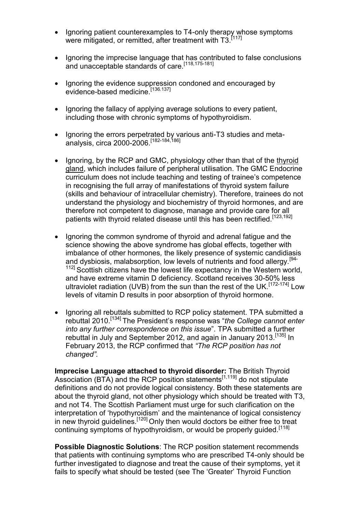- Ignoring patient counterexamples to T4-only therapy whose symptoms were mitigated, or remitted, after treatment with T3.<sup>[117]</sup>
- Ignoring the imprecise language that has contributed to false conclusions and unacceptable standards of care.<sup>[118,175-181]</sup>
- Ignoring the evidence suppression condoned and encouraged by evidence-based medicine.[136.137]
- Ignoring the fallacy of applying average solutions to every patient, including those with chronic symptoms of hypothyroidism.
- Ignoring the errors perpetrated by various anti-T3 studies and metaanalysis, circa 2000-2006.[182-184,186]
- Ignoring, by the RCP and GMC, physiology other than that of the thyroid gland, which includes failure of peripheral utilisation. The GMC Endocrine curriculum does not include teaching and testing of trainee's competence in recognising the full array of manifestations of thyroid system failure (skills and behaviour of intracellular chemistry). Therefore, trainees do not understand the physiology and biochemistry of thyroid hormones, and are therefore not competent to diagnose, manage and provide care for all patients with thyroid related disease until this has been rectified.[123,192]
- Ignoring the common syndrome of thyroid and adrenal fatigue and the science showing the above syndrome has global effects, together with imbalance of other hormones*,* the likely presence of systemic candidiasis and dysbiosis, malabsorption, low levels of nutrients and food allergy.<sup>[94-</sup>] <sup>112]</sup> Scottish citizens have the lowest life expectancy in the Western world, and have extreme vitamin D deficiency. Scotland receives 30-50% less ultraviolet radiation (UVB) from the sun than the rest of the UK.<sup>[172-174]</sup> Low levels of vitamin D results in poor absorption of thyroid hormone.
- Ignoring all rebuttals submitted to RCP policy statement. TPA submitted a rebuttal 2010.[134] The President's response was "*the College cannot enter into any further correspondence on this issue*". TPA submitted a further rebuttal in July and September 2012, and again in January 2013*.* [135] In February 2013, th*e* RCP confirmed that *"The RCP position has not changed".*

**Imprecise Language attached to thyroid disorder:** The British Thyroid Association (BTA) and the RCP position statements<sup>[1,119]</sup> do not stipulate definitions and do not provide logical consistency. Both these statements are about the thyroid gland, not other physiology which should be treated with T3, and not T4. The Scottish Parliament must urge for such clarification on the interpretation of 'hypothyroidism' and the maintenance of logical consistency in new thyroid guidelines.<sup>[120]</sup> Only then would doctors be either free to treat continuing symptoms of hypothyroidism, or would be properly quided.<sup>[118]</sup>

**Possible Diagnostic Solutions**: The RCP position statement recommends that patients with continuing symptoms who are prescribed T4-only should be further investigated to diagnose and treat the cause of their symptoms, yet it fails to specify what should be tested (see The 'Greater' Thyroid Function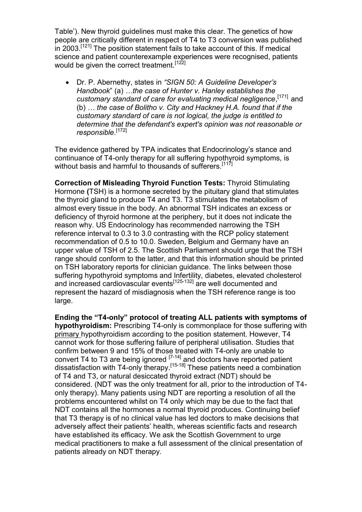Table'). New thyroid guidelines must make this clear. The genetics of how people are critically different in respect of T4 to T3 conversion was published in 2003.[121] The position statement fails to take account of this. If medical science and patient counterexample experiences were recognised, patients would be given the correct treatment.<sup>[122]</sup>

 Dr. P. Abernethy, states in *"SIGN 50: A Guideline Developer's Handbook*" (a) *…the case of Hunter v. Hanley establishes the customary standard of care for evaluating medical negligence*, [171]and (b) *… the case of Bolitho v. City and Hackney H.A. found that if the customary standard of care is not logical, the judge is entitled to determine that the defendant's expert's opinion was not reasonable or responsible*. [172]

The evidence gathered by TPA indicates that Endocrinology's stance and continuance of T4-only therapy for all suffering hypothyroid symptoms, is without basis and harmful to thousands of sufferers.<sup>[117]</sup>

**Correction of Misleading Thyroid Function Tests:** Thyroid Stimulating Hormone **(**TSH) is a hormone secreted by the pituitary gland that stimulates the thyroid gland to produce T4 and T3. T3 stimulates the metabolism of almost every tissue in the body. An abnormal TSH indicates an excess or deficiency of thyroid hormone at the periphery, but it does not indicate the reason why. US Endocrinology has recommended narrowing the TSH reference interval to 0.3 to 3.0 contrasting with the RCP policy statement recommendation of 0.5 to 10.0. Sweden, Belgium and Germany have an upper value of TSH of 2.5. The Scottish Parliament should urge that the TSH range should conform to the latter, and that this information should be printed on TSH laboratory reports for clinician guidance. The links between those suffering hypothyroid symptoms and Infertility, diabetes, elevated cholesterol and increased cardiovascular events<sup> $[125-132]$ </sup> are well documented and represent the hazard of misdiagnosis when the TSH reference range is too large.

**Ending the "T4-only" protocol of treating ALL patients with symptoms of hypothyroidism:** Prescribing T4-only is commonplace for those suffering with primary hypothyroidism according to the position statement. However, T4 cannot work for those suffering failure of peripheral utilisation. Studies that confirm between 9 and 15% of those treated with T4-only are unable to convert T4 to T3 are being ignored  $[7-14]$  and doctors have reported patient dissatisfaction with T4-only therapy.<sup>[15-18]</sup> These patients need a combination of T4 and T3, or natural desiccated thyroid extract (NDT) should be considered. (NDT was the only treatment for all, prior to the introduction of T4 only therapy). Many patients using NDT are reporting a resolution of all the problems encountered whilst on T4 only which may be due to the fact that NDT contains all the hormones a normal thyroid produces. Continuing belief that T3 therapy is of no clinical value has led doctors to make decisions that adversely affect their patients' health, whereas scientific facts and research have established its efficacy. We ask the Scottish Government to urge medical practitioners to make a full assessment of the clinical presentation of patients already on NDT therapy.